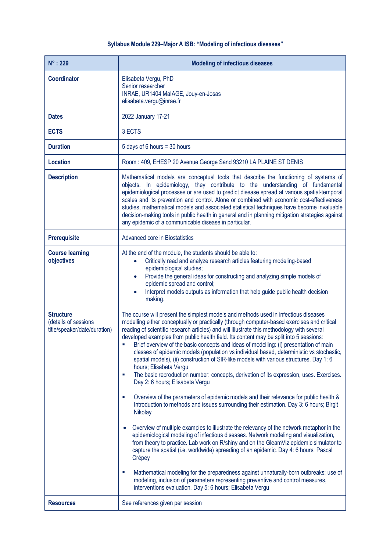## **Syllabus Module 229–Major A ISB: "Modeling of infectious diseases"**

| $N^\circ$ : 229                                                          | <b>Modeling of infectious diseases</b>                                                                                                                                                                                                                                                                                                                                                                                                                                                                                                                                                                                                                                                                                                                                                                                                                                                                                                                                                                                                                                                                                                                                                                                                                                                                                                                                                                                                                                                                                                                                                                                                                           |
|--------------------------------------------------------------------------|------------------------------------------------------------------------------------------------------------------------------------------------------------------------------------------------------------------------------------------------------------------------------------------------------------------------------------------------------------------------------------------------------------------------------------------------------------------------------------------------------------------------------------------------------------------------------------------------------------------------------------------------------------------------------------------------------------------------------------------------------------------------------------------------------------------------------------------------------------------------------------------------------------------------------------------------------------------------------------------------------------------------------------------------------------------------------------------------------------------------------------------------------------------------------------------------------------------------------------------------------------------------------------------------------------------------------------------------------------------------------------------------------------------------------------------------------------------------------------------------------------------------------------------------------------------------------------------------------------------------------------------------------------------|
| <b>Coordinator</b>                                                       | Elisabeta Vergu, PhD<br>Senior researcher<br>INRAE, UR1404 MalAGE, Jouy-en-Josas<br>elisabeta.vergu@inrae.fr                                                                                                                                                                                                                                                                                                                                                                                                                                                                                                                                                                                                                                                                                                                                                                                                                                                                                                                                                                                                                                                                                                                                                                                                                                                                                                                                                                                                                                                                                                                                                     |
| <b>Dates</b>                                                             | 2022 January 17-21                                                                                                                                                                                                                                                                                                                                                                                                                                                                                                                                                                                                                                                                                                                                                                                                                                                                                                                                                                                                                                                                                                                                                                                                                                                                                                                                                                                                                                                                                                                                                                                                                                               |
| <b>ECTS</b>                                                              | 3 ECTS                                                                                                                                                                                                                                                                                                                                                                                                                                                                                                                                                                                                                                                                                                                                                                                                                                                                                                                                                                                                                                                                                                                                                                                                                                                                                                                                                                                                                                                                                                                                                                                                                                                           |
| <b>Duration</b>                                                          | 5 days of 6 hours = 30 hours                                                                                                                                                                                                                                                                                                                                                                                                                                                                                                                                                                                                                                                                                                                                                                                                                                                                                                                                                                                                                                                                                                                                                                                                                                                                                                                                                                                                                                                                                                                                                                                                                                     |
| <b>Location</b>                                                          | Room: 409, EHESP 20 Avenue George Sand 93210 LA PLAINE ST DENIS                                                                                                                                                                                                                                                                                                                                                                                                                                                                                                                                                                                                                                                                                                                                                                                                                                                                                                                                                                                                                                                                                                                                                                                                                                                                                                                                                                                                                                                                                                                                                                                                  |
| <b>Description</b>                                                       | Mathematical models are conceptual tools that describe the functioning of systems of<br>objects. In epidemiology, they contribute to the understanding of fundamental<br>epidemiological processes or are used to predict disease spread at various spatial-temporal<br>scales and its prevention and control. Alone or combined with economic cost-effectiveness<br>studies, mathematical models and associated statistical techniques have become invaluable<br>decision-making tools in public health in general and in planning mitigation strategies against<br>any epidemic of a communicable disease in particular.                                                                                                                                                                                                                                                                                                                                                                                                                                                                                                                                                                                                                                                                                                                                                                                                                                                                                                                                                                                                                                       |
| <b>Prerequisite</b>                                                      | Advanced core in Biostatistics                                                                                                                                                                                                                                                                                                                                                                                                                                                                                                                                                                                                                                                                                                                                                                                                                                                                                                                                                                                                                                                                                                                                                                                                                                                                                                                                                                                                                                                                                                                                                                                                                                   |
| <b>Course learning</b><br>objectives                                     | At the end of the module, the students should be able to:<br>Critically read and analyze research articles featuring modeling-based<br>$\bullet$<br>epidemiological studies;<br>Provide the general ideas for constructing and analyzing simple models of<br>$\bullet$<br>epidemic spread and control;<br>Interpret models outputs as information that help guide public health decision<br>$\bullet$<br>making.                                                                                                                                                                                                                                                                                                                                                                                                                                                                                                                                                                                                                                                                                                                                                                                                                                                                                                                                                                                                                                                                                                                                                                                                                                                 |
| <b>Structure</b><br>(details of sessions<br>title/speaker/date/duration) | The course will present the simplest models and methods used in infectious diseases<br>modelling either conceptually or practically (through computer-based exercises and critical<br>reading of scientific research articles) and will illustrate this methodology with several<br>developed examples from public health field. Its content may be split into 5 sessions:<br>Brief overview of the basic concepts and ideas of modelling: (i) presentation of main<br>Ì.<br>classes of epidemic models (population vs individual based, deterministic vs stochastic,<br>spatial models), (ii) construction of SIR-like models with various structures. Day 1: 6<br>hours; Elisabeta Vergu<br>The basic reproduction number: concepts, derivation of its expression, uses. Exercises.<br>×<br>Day 2: 6 hours; Elisabeta Vergu<br>Overview of the parameters of epidemic models and their relevance for public health &<br>٠<br>Introduction to methods and issues surrounding their estimation. Day 3: 6 hours; Birgit<br>Nikolay<br>Overview of multiple examples to illustrate the relevancy of the network metaphor in the<br>epidemiological modeling of infectious diseases. Network modeling and visualization,<br>from theory to practice. Lab work on R/shiny and on the GleamViz epidemic simulator to<br>capture the spatial (i.e. worldwide) spreading of an epidemic. Day 4: 6 hours; Pascal<br>Crépey<br>Mathematical modeling for the preparedness against unnaturally-born outbreaks: use of<br>п<br>modeling, inclusion of parameters representing preventive and control measures,<br>interventions evaluation. Day 5: 6 hours; Elisabeta Vergu |
| <b>Resources</b>                                                         | See references given per session                                                                                                                                                                                                                                                                                                                                                                                                                                                                                                                                                                                                                                                                                                                                                                                                                                                                                                                                                                                                                                                                                                                                                                                                                                                                                                                                                                                                                                                                                                                                                                                                                                 |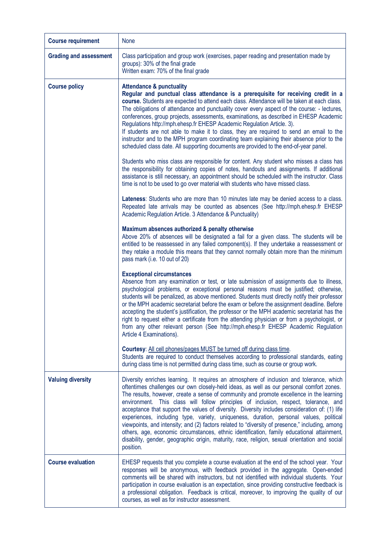| <b>Course requirement</b>     | None                                                                                                                                                                                                                                                                                                                                                                                                                                                                                                                                                                                                                                                                                                                                                                                                                                                                                 |
|-------------------------------|--------------------------------------------------------------------------------------------------------------------------------------------------------------------------------------------------------------------------------------------------------------------------------------------------------------------------------------------------------------------------------------------------------------------------------------------------------------------------------------------------------------------------------------------------------------------------------------------------------------------------------------------------------------------------------------------------------------------------------------------------------------------------------------------------------------------------------------------------------------------------------------|
| <b>Grading and assessment</b> | Class participation and group work (exercises, paper reading and presentation made by<br>groups): 30% of the final grade<br>Written exam: 70% of the final grade                                                                                                                                                                                                                                                                                                                                                                                                                                                                                                                                                                                                                                                                                                                     |
| <b>Course policy</b>          | <b>Attendance &amp; punctuality</b><br>Regular and punctual class attendance is a prerequisite for receiving credit in a<br>course. Students are expected to attend each class. Attendance will be taken at each class.<br>The obligations of attendance and punctuality cover every aspect of the course: - lectures,<br>conferences, group projects, assessments, examinations, as described in EHESP Academic<br>Regulations http://mph.ehesp.fr EHESP Academic Regulation Article. 3).<br>If students are not able to make it to class, they are required to send an email to the<br>instructor and to the MPH program coordinating team explaining their absence prior to the<br>scheduled class date. All supporting documents are provided to the end-of-year panel.                                                                                                          |
|                               | Students who miss class are responsible for content. Any student who misses a class has<br>the responsibility for obtaining copies of notes, handouts and assignments. If additional<br>assistance is still necessary, an appointment should be scheduled with the instructor. Class<br>time is not to be used to go over material with students who have missed class.                                                                                                                                                                                                                                                                                                                                                                                                                                                                                                              |
|                               | Lateness: Students who are more than 10 minutes late may be denied access to a class.<br>Repeated late arrivals may be counted as absences (See http://mph.ehesp.fr EHESP<br>Academic Regulation Article. 3 Attendance & Punctuality)                                                                                                                                                                                                                                                                                                                                                                                                                                                                                                                                                                                                                                                |
|                               | Maximum absences authorized & penalty otherwise<br>Above 20% of absences will be designated a fail for a given class. The students will be<br>entitled to be reassessed in any failed component(s). If they undertake a reassessment or<br>they retake a module this means that they cannot normally obtain more than the minimum<br>pass mark (i.e. 10 out of 20)                                                                                                                                                                                                                                                                                                                                                                                                                                                                                                                   |
|                               | <b>Exceptional circumstances</b><br>Absence from any examination or test, or late submission of assignments due to illness,<br>psychological problems, or exceptional personal reasons must be justified; otherwise,<br>students will be penalized, as above mentioned. Students must directly notify their professor<br>or the MPH academic secretariat before the exam or before the assignment deadline. Before<br>accepting the student's justification, the professor or the MPH academic secretariat has the<br>right to request either a certificate from the attending physician or from a psychologist, or<br>from any other relevant person (See http://mph.ehesp.fr EHESP Academic Regulation<br>Article 4 Examinations).                                                                                                                                                 |
|                               | Courtesy: All cell phones/pages MUST be turned off during class time.<br>Students are required to conduct themselves according to professional standards, eating<br>during class time is not permitted during class time, such as course or group work.                                                                                                                                                                                                                                                                                                                                                                                                                                                                                                                                                                                                                              |
| <b>Valuing diversity</b>      | Diversity enriches learning. It requires an atmosphere of inclusion and tolerance, which<br>oftentimes challenges our own closely-held ideas, as well as our personal comfort zones.<br>The results, however, create a sense of community and promote excellence in the learning<br>environment. This class will follow principles of inclusion, respect, tolerance, and<br>acceptance that support the values of diversity. Diversity includes consideration of: (1) life<br>experiences, including type, variety, uniqueness, duration, personal values, political<br>viewpoints, and intensity; and (2) factors related to "diversity of presence," including, among<br>others, age, economic circumstances, ethnic identification, family educational attainment,<br>disability, gender, geographic origin, maturity, race, religion, sexual orientation and social<br>position. |
| <b>Course evaluation</b>      | EHESP requests that you complete a course evaluation at the end of the school year. Your<br>responses will be anonymous, with feedback provided in the aggregate. Open-ended<br>comments will be shared with instructors, but not identified with individual students. Your<br>participation in course evaluation is an expectation, since providing constructive feedback is<br>a professional obligation. Feedback is critical, moreover, to improving the quality of our<br>courses, as well as for instructor assessment.                                                                                                                                                                                                                                                                                                                                                        |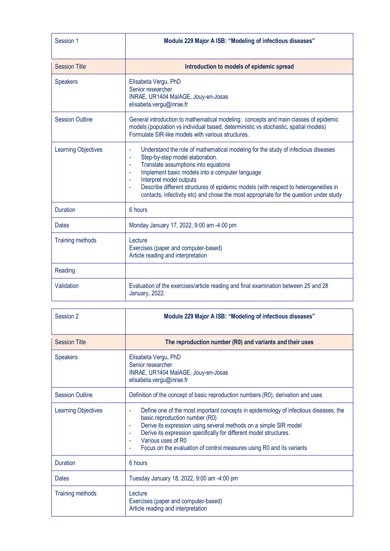| Session 1                  | Module 229 Major A ISB: "Modeling of infectious diseases"                                                                                                                                                                                                                                                                                                                                                                                                                                                      |
|----------------------------|----------------------------------------------------------------------------------------------------------------------------------------------------------------------------------------------------------------------------------------------------------------------------------------------------------------------------------------------------------------------------------------------------------------------------------------------------------------------------------------------------------------|
| <b>Session Title</b>       | Introduction to models of epidemic spread                                                                                                                                                                                                                                                                                                                                                                                                                                                                      |
| <b>Speakers</b>            | Elisabeta Vergu, PhD<br>Senior researcher<br>INRAE, UR1404 MalAGE, Jouy-en-Josas<br>elisabeta.vergu@inrae.fr                                                                                                                                                                                                                                                                                                                                                                                                   |
| <b>Session Outline</b>     | General introduction to mathematical modeling: concepts and main classes of epidemic<br>models (population vs individual based, deterministic vs stochastic, spatial models)<br>Formulate SIR-like models with various structures.                                                                                                                                                                                                                                                                             |
| <b>Learning Objectives</b> | Understand the role of mathematical modeling for the study of infectious diseases<br>÷,<br>Step-by-step model elaboration.<br>ä,<br>Translate assumptions into equations<br>$\blacksquare$<br>Implement basic models into a computer language<br>$\blacksquare$<br>Interpret model outputs<br>$\overline{\phantom{a}}$<br>Describe different structures of epidemic models (with respect to heterogeneities in<br>ä,<br>contacts, infectivity etc) and chose the most appropriate for the question under study |
| <b>Duration</b>            | 6 hours                                                                                                                                                                                                                                                                                                                                                                                                                                                                                                        |
| <b>Dates</b>               | Monday January 17, 2022, 9:00 am -4:00 pm                                                                                                                                                                                                                                                                                                                                                                                                                                                                      |
| <b>Training methods</b>    | Lecture<br>Exercises (paper and computer-based)<br>Article reading and interpretation                                                                                                                                                                                                                                                                                                                                                                                                                          |
| Reading                    |                                                                                                                                                                                                                                                                                                                                                                                                                                                                                                                |
| Validation                 | Evaluation of the exercises/article reading and final examination between 25 and 28<br>January, 2022.                                                                                                                                                                                                                                                                                                                                                                                                          |

| Session 2               | Module 229 Major A ISB: "Modeling of infectious diseases"                                                                                                                                                                                                                                                                                                                                           |
|-------------------------|-----------------------------------------------------------------------------------------------------------------------------------------------------------------------------------------------------------------------------------------------------------------------------------------------------------------------------------------------------------------------------------------------------|
| <b>Session Title</b>    | The reproduction number (R0) and variants and their uses                                                                                                                                                                                                                                                                                                                                            |
| <b>Speakers</b>         | Elisabeta Vergu, PhD<br>Senior researcher<br>INRAE, UR1404 MaIAGE, Jouy-en-Josas<br>elisabeta.vergu@inrae.fr                                                                                                                                                                                                                                                                                        |
| <b>Session Outline</b>  | Definition of the concept of basic reproduction numbers (R0), derivation and uses                                                                                                                                                                                                                                                                                                                   |
| Learning Objectives     | Define one of the most important concepts in epidemiology of infectious diseases, the<br>ä,<br>basic reproduction number (R0)<br>Derive its expression using several methods on a simple SIR model<br>$\sim$<br>Derive its expression specifically for different model structures.<br>$\blacksquare$<br>Various uses of R0<br>Focus on the evaluation of control measures using R0 and its variants |
| <b>Duration</b>         | 6 hours                                                                                                                                                                                                                                                                                                                                                                                             |
| <b>Dates</b>            | Tuesday January 18, 2022, 9:00 am -4:00 pm                                                                                                                                                                                                                                                                                                                                                          |
| <b>Training methods</b> | Lecture<br>Exercises (paper and computer-based)<br>Article reading and interpretation                                                                                                                                                                                                                                                                                                               |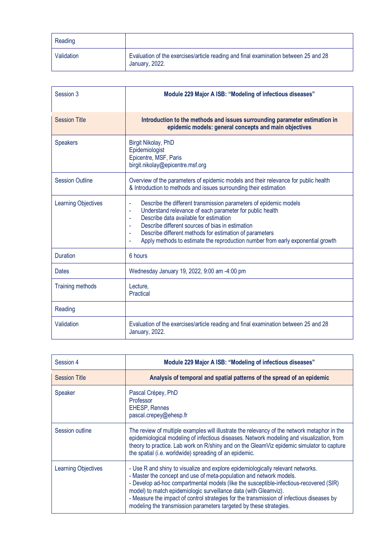| Reading    |                                                                                                       |
|------------|-------------------------------------------------------------------------------------------------------|
| Validation | Evaluation of the exercises/article reading and final examination between 25 and 28<br>January, 2022. |

| Session 3                  | Module 229 Major A ISB: "Modeling of infectious diseases"                                                                                                                                                                                                                                                                                                                                                                           |
|----------------------------|-------------------------------------------------------------------------------------------------------------------------------------------------------------------------------------------------------------------------------------------------------------------------------------------------------------------------------------------------------------------------------------------------------------------------------------|
| <b>Session Title</b>       | Introduction to the methods and issues surrounding parameter estimation in<br>epidemic models: general concepts and main objectives                                                                                                                                                                                                                                                                                                 |
| <b>Speakers</b>            | Birgit Nikolay, PhD<br>Epidemiologist<br>Epicentre, MSF, Paris<br>birgit.nikolay@epicentre.msf.org                                                                                                                                                                                                                                                                                                                                  |
| <b>Session Outline</b>     | Overview of the parameters of epidemic models and their relevance for public health<br>& Introduction to methods and issues surrounding their estimation                                                                                                                                                                                                                                                                            |
| <b>Learning Objectives</b> | Describe the different transmission parameters of epidemic models<br>ä,<br>Understand relevance of each parameter for public health<br>ä,<br>Describe data available for estimation<br>$\sim$<br>Describe different sources of bias in estimation<br>$\blacksquare$<br>Describe different methods for estimation of parameters<br>$\blacksquare$<br>Apply methods to estimate the reproduction number from early exponential growth |
| <b>Duration</b>            | 6 hours                                                                                                                                                                                                                                                                                                                                                                                                                             |
| <b>Dates</b>               | Wednesday January 19, 2022, 9:00 am -4:00 pm                                                                                                                                                                                                                                                                                                                                                                                        |
| <b>Training methods</b>    | Lecture,<br>Practical                                                                                                                                                                                                                                                                                                                                                                                                               |
| Reading                    |                                                                                                                                                                                                                                                                                                                                                                                                                                     |
| Validation                 | Evaluation of the exercises/article reading and final examination between 25 and 28<br>January, 2022.                                                                                                                                                                                                                                                                                                                               |

| Session 4                  | Module 229 Major A ISB: "Modeling of infectious diseases"                                                                                                                                                                                                                                                                                                                                                                                                                               |
|----------------------------|-----------------------------------------------------------------------------------------------------------------------------------------------------------------------------------------------------------------------------------------------------------------------------------------------------------------------------------------------------------------------------------------------------------------------------------------------------------------------------------------|
| <b>Session Title</b>       | Analysis of temporal and spatial patterns of the spread of an epidemic                                                                                                                                                                                                                                                                                                                                                                                                                  |
| Speaker                    | Pascal Crépey, PhD<br>Professor<br><b>EHESP, Rennes</b><br>pascal.crepey@ehesp.fr                                                                                                                                                                                                                                                                                                                                                                                                       |
| Session outline            | The review of multiple examples will illustrate the relevancy of the network metaphor in the<br>epidemiological modeling of infectious diseases. Network modeling and visualization, from<br>theory to practice. Lab work on R/shiny and on the GleamViz epidemic simulator to capture<br>the spatial (i.e. worldwide) spreading of an epidemic.                                                                                                                                        |
| <b>Learning Objectives</b> | - Use R and shiny to visualize and explore epidemiologically relevant networks.<br>- Master the concept and use of meta-population and network models.<br>- Develop ad-hoc compartmental models (like the susceptible-infectious-recovered (SIR)<br>model) to match epidemiologic surveillance data (with Gleamviz).<br>- Measure the impact of control strategies for the transmission of infectious diseases by<br>modeling the transmission parameters targeted by these strategies. |